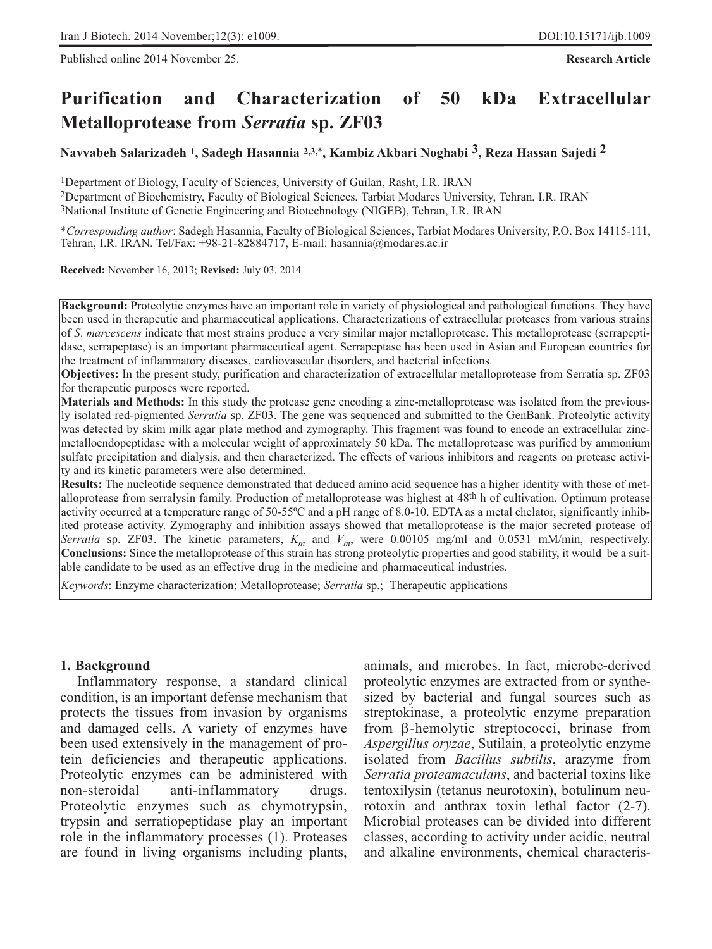Published online 2014 November 25. **Research Article**

# **Purification and Characterization of 50 kDa Extracellular Metalloprotease from** *Serratia* **sp. ZF03**

**Navvabeh Salarizadeh 1, Sadegh Hasannia 2,3,**\***, Kambiz Akbari Noghabi 3, Reza Hassan Sajedi 2**

1Department of Biology, Faculty of Sciences, University of Guilan, Rasht, I.R. IRAN

2Department of Biochemistry, Faculty of Biological Sciences, Tarbiat Modares University, Tehran, I.R. IRAN

3National Institute of Genetic Engineering and Biotechnology (NIGEB), Tehran, I.R. IRAN

\**Corresponding author*: Sadegh Hasannia, Faculty of Biological Sciences, Tarbiat Modares University, P.O. Box 14115-111, Tehran, I.R. IRAN. Tel/Fax:  $+98-21-82884717$ , E-mail: hasannia@modares.ac.ir

**Received:** November 16, 2013; **Revised:** July 03, 2014

**Background:** Proteolytic enzymes have an important role in variety of physiological and pathological functions. They have been used in therapeutic and pharmaceutical applications. Characterizations of extracellular proteases from various strains of *S*. *marcescens* indicate that most strains produce a very similar major metalloprotease. This metalloprotease (serrapeptidase, serrapeptase) is an important pharmaceutical agent. Serrapeptase has been used in Asian and European countries for the treatment of inflammatory diseases, cardiovascular disorders, and bacterial infections.

**Objectives:** In the present study, purification and characterization of extracellular metalloprotease from Serratia sp. ZF03 for therapeutic purposes were reported.

**Materials and Methods:** In this study the protease gene encoding a zinc-metalloprotease was isolated from the previously isolated red-pigmented *Serratia* sp. ZF03. The gene was sequenced and submitted to the GenBank. Proteolytic activity was detected by skim milk agar plate method and zymography. This fragment was found to encode an extracellular zincmetalloendopeptidase with a molecular weight of approximately 50 kDa. The metalloprotease was purified by ammonium sulfate precipitation and dialysis, and then characterized. The effects of various inhibitors and reagents on protease activity and its kinetic parameters were also determined.

**Results:** The nucleotide sequence demonstrated that deduced amino acid sequence has a higher identity with those of metalloprotease from serralysin family. Production of metalloprotease was highest at 48<sup>th</sup> h of cultivation. Optimum protease activity occurred at a temperature range of 50-55ºC and a pH range of 8.0-10. EDTA as a metal chelator, significantly inhibited protease activity. Zymography and inhibition assays showed that metalloprotease is the major secreted protease of *Serratia* sp. ZF03. The kinetic parameters,  $K_m$  and  $V_m$ , were 0.00105 mg/ml and 0.0531 mM/min, respectively. **Conclusions:** Since the metalloprotease of this strain has strong proteolytic properties and good stability, it would be a suitable candidate to be used as an effective drug in the medicine and pharmaceutical industries.

*Keywords*: Enzyme characterization; Metalloprotease; *Serratia* sp.; Therapeutic applications

# **1. Background**

Inflammatory response, a standard clinical condition, is an important defense mechanism that protects the tissues from invasion by organisms and damaged cells. A variety of enzymes have been used extensively in the management of protein deficiencies and therapeutic applications. Proteolytic enzymes can be administered with non-steroidal anti-inflammatory drugs. Proteolytic enzymes such as chymotrypsin, trypsin and serratiopeptidase play an important role in the inflammatory processes (1). Proteases are found in living organisms including plants, animals, and microbes. In fact, microbe-derived proteolytic enzymes are extracted from or synthesized by bacterial and fungal sources such as streptokinase, a proteolytic enzyme preparation from β-hemolytic streptococci, brinase from *Aspergillus oryzae*, Sutilain, a proteolytic enzyme isolated from *Bacillus subtilis*, arazyme from *Serratia proteamaculans*, and bacterial toxins like tentoxilysin (tetanus neurotoxin), botulinum neurotoxin and anthrax toxin lethal factor (2-7). Microbial proteases can be divided into different classes, according to activity under acidic, neutral and alkaline environments, chemical characteris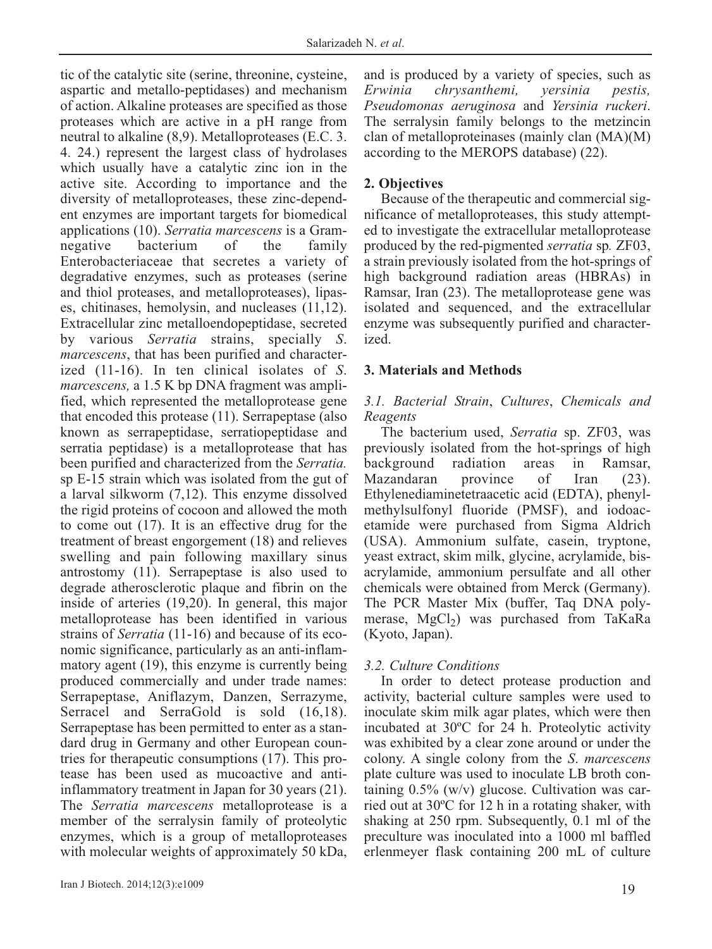tic of the catalytic site (serine, threonine, cysteine, aspartic and metallo-peptidases) and mechanism of action. Alkaline proteases are specified as those proteases which are active in a pH range from neutral to alkaline (8,9). Metalloproteases (E.C. 3. 4. 24.) represent the largest class of hydrolases which usually have a catalytic zinc ion in the active site. According to importance and the diversity of metalloproteases, these zinc-dependent enzymes are important targets for biomedical applications (10). *Serratia marcescens* is a Gramnegative bacterium of the family Enterobacteriaceae that secretes a variety of degradative enzymes, such as proteases (serine and thiol proteases, and metalloproteases), lipases, chitinases, hemolysin, and nucleases (11,12). Extracellular zinc metalloendopeptidase, secreted by various *Serratia* strains, specially *S*. *marcescens*, that has been purified and characterized (11-16). In ten clinical isolates of *S*. *marcescens,* a 1.5 K bp DNA fragment was amplified, which represented the metalloprotease gene that encoded this protease (11). Serrapeptase (also known as serrapeptidase, serratiopeptidase and serratia peptidase) is a metalloprotease that has been purified and characterized from the *Serratia.* sp E-15 strain which was isolated from the gut of a larval silkworm (7,12). This enzyme dissolved the rigid proteins of cocoon and allowed the moth to come out (17). It is an effective drug for the treatment of breast engorgement (18) and relieves swelling and pain following maxillary sinus antrostomy (11). Serrapeptase is also used to degrade atherosclerotic plaque and fibrin on the inside of arteries (19,20). In general, this major metalloprotease has been identified in various strains of *Serratia* (11-16) and because of its economic significance, particularly as an anti-inflammatory agent (19), this enzyme is currently being produced commercially and under trade names: Serrapeptase, Aniflazym, Danzen, Serrazyme, Serracel and SerraGold is sold  $(16,18)$ . Serrapeptase has been permitted to enter as a standard drug in Germany and other European countries for therapeutic consumptions (17). This protease has been used as mucoactive and antiinflammatory treatment in Japan for 30 years (21). The *Serratia marcescens* metalloprotease is a member of the serralysin family of proteolytic enzymes, which is a group of metalloproteases with molecular weights of approximately 50 kDa,

and is produced by a variety of species, such as *Erwinia chrysanthemi, yersinia pestis, Pseudomonas aeruginosa* and *Yersinia ruckeri*. The serralysin family belongs to the metzincin clan of metalloproteinases (mainly clan (MA)(M) according to the MEROPS database) (22).

#### **2. Objectives**

Because of the therapeutic and commercial significance of metalloproteases, this study attempted to investigate the extracellular metalloprotease produced by the red-pigmented *serratia* sp*.* ZF03, a strain previously isolated from the hot-springs of high background radiation areas (HBRAs) in Ramsar, Iran (23). The metalloprotease gene was isolated and sequenced, and the extracellular enzyme was subsequently purified and characterized.

## **3. Materials and Methods**

## *3.1. Bacterial Strain*, *Cultures*, *Chemicals and Reagents*

The bacterium used, *Serratia* sp. ZF03, was previously isolated from the hot-springs of high background radiation areas in Ramsar, Mazandaran province of Iran (23). Ethylenediaminetetraacetic acid (EDTA), phenylmethylsulfonyl fluoride (PMSF), and iodoacetamide were purchased from Sigma Aldrich (USA). Ammonium sulfate, casein, tryptone, yeast extract, skim milk, glycine, acrylamide, bisacrylamide, ammonium persulfate and all other chemicals were obtained from Merck (Germany). The PCR Master Mix (buffer, Taq DNA polymerase,  $MgCl<sub>2</sub>$ ) was purchased from TaKaRa (Kyoto, Japan).

## *3.2. Culture Conditions*

In order to detect protease production and activity, bacterial culture samples were used to inoculate skim milk agar plates, which were then incubated at 30ºC for 24 h. Proteolytic activity was exhibited by a clear zone around or under the colony. A single colony from the *S*. *marcescens* plate culture was used to inoculate LB broth containing  $0.5\%$  (w/v) glucose. Cultivation was carried out at 30ºC for 12 h in a rotating shaker, with shaking at 250 rpm. Subsequently, 0.1 ml of the preculture was inoculated into a 1000 ml baffled erlenmeyer flask containing 200 mL of culture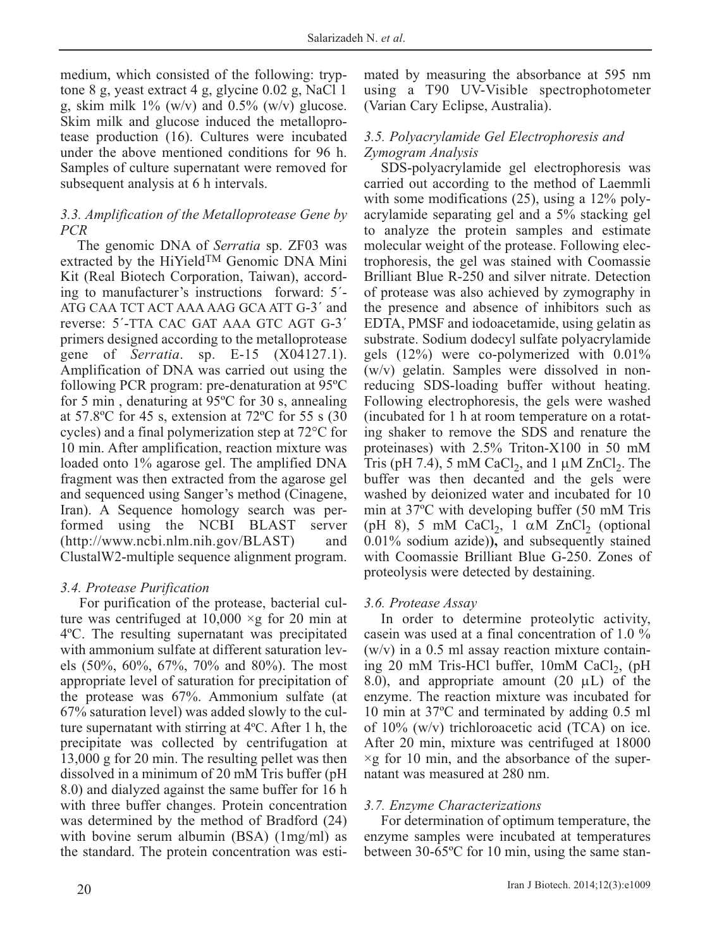medium, which consisted of the following: tryptone 8 g, yeast extract 4 g, glycine 0.02 g, NaCl 1 g, skim milk  $1\%$  (w/v) and 0.5% (w/v) glucose. Skim milk and glucose induced the metalloprotease production (16). Cultures were incubated under the above mentioned conditions for 96 h. Samples of culture supernatant were removed for subsequent analysis at 6 h intervals.

# *3.3. Amplification of the Metalloprotease Gene by PCR*

The genomic DNA of *Serratia* sp. ZF03 was extracted by the HiYieldTM Genomic DNA Mini Kit (Real Biotech Corporation, Taiwan), according to manufacturer's instructions forward: 5´- ATG CAA TCT ACT AAA AAG GCA ATT G-3´ and reverse: 5´-TTA CAC GAT AAA GTC AGT G-3´ primers designed according to the metalloprotease gene of *Serratia*. sp. E-15 (X04127.1). Amplification of DNA was carried out using the following PCR program: pre-denaturation at 95ºC for 5 min , denaturing at 95ºC for 30 s, annealing at 57.8ºC for 45 s, extension at 72ºC for 55 s (30 cycles) and a final polymerization step at 72°C for 10 min. After amplification, reaction mixture was loaded onto 1% agarose gel. The amplified DNA fragment was then extracted from the agarose gel and sequenced using Sanger's method (Cinagene, Iran). A Sequence homology search was performed using the NCBI BLAST server (http://www.ncbi.nlm.nih.gov/BLAST) and ClustalW2-multiple sequence alignment program.

# *3.4. Protease Purification*

For purification of the protease, bacterial culture was centrifuged at  $10,000 \times g$  for 20 min at 4ºC. The resulting supernatant was precipitated with ammonium sulfate at different saturation levels (50%, 60%, 67%, 70% and 80%). The most appropriate level of saturation for precipitation of the protease was 67%. Ammonium sulfate (at 67% saturation level) was added slowly to the culture supernatant with stirring at 4ºC. After 1 h, the precipitate was collected by centrifugation at 13,000 g for 20 min. The resulting pellet was then dissolved in a minimum of 20 mM Tris buffer (pH 8.0) and dialyzed against the same buffer for 16 h with three buffer changes. Protein concentration was determined by the method of Bradford (24) with bovine serum albumin (BSA) (1mg/ml) as the standard. The protein concentration was estimated by measuring the absorbance at 595 nm using a T90 UV-Visible spectrophotometer (Varian Cary Eclipse, Australia).

# *3.5. Polyacrylamide Gel Electrophoresis and Zymogram Analysis*

SDS-polyacrylamide gel electrophoresis was carried out according to the method of Laemmli with some modifications (25), using a 12% polyacrylamide separating gel and a 5% stacking gel to analyze the protein samples and estimate molecular weight of the protease. Following electrophoresis, the gel was stained with Coomassie Brilliant Blue R-250 and silver nitrate. Detection of protease was also achieved by zymography in the presence and absence of inhibitors such as EDTA, PMSF and iodoacetamide, using gelatin as substrate. Sodium dodecyl sulfate polyacrylamide gels (12%) were co-polymerized with 0.01% (w/v) gelatin. Samples were dissolved in nonreducing SDS-loading buffer without heating. Following electrophoresis, the gels were washed (incubated for 1 h at room temperature on a rotating shaker to remove the SDS and renature the proteinases) with 2.5% Triton-X100 in 50 mM Tris (pH 7.4), 5 mM CaCl<sub>2</sub>, and 1  $\mu$ M ZnCl<sub>2</sub>. The buffer was then decanted and the gels were washed by deionized water and incubated for 10 min at 37ºC with developing buffer (50 mM Tris (pH 8), 5 mM CaCl<sub>2</sub>, 1  $\alpha$ M ZnCl<sub>2</sub> (optional) 0.01% sodium azide)**),** and subsequently stained with Coomassie Brilliant Blue G-250. Zones of proteolysis were detected by destaining.

# *3.6. Protease Assay*

In order to determine proteolytic activity, casein was used at a final concentration of 1.0 %  $(w/v)$  in a 0.5 ml assay reaction mixture containing 20 mM Tris-HCl buffer,  $10mM$  CaCl<sub>2</sub>, (pH 8.0), and appropriate amount  $(20 \mu L)$  of the enzyme. The reaction mixture was incubated for 10 min at 37ºC and terminated by adding 0.5 ml of  $10\%$  (w/v) trichloroacetic acid (TCA) on ice. After 20 min, mixture was centrifuged at 18000  $\times$ g for 10 min, and the absorbance of the supernatant was measured at 280 nm.

# *3.7. Enzyme Characterizations*

For determination of optimum temperature, the enzyme samples were incubated at temperatures between 30-65ºC for 10 min, using the same stan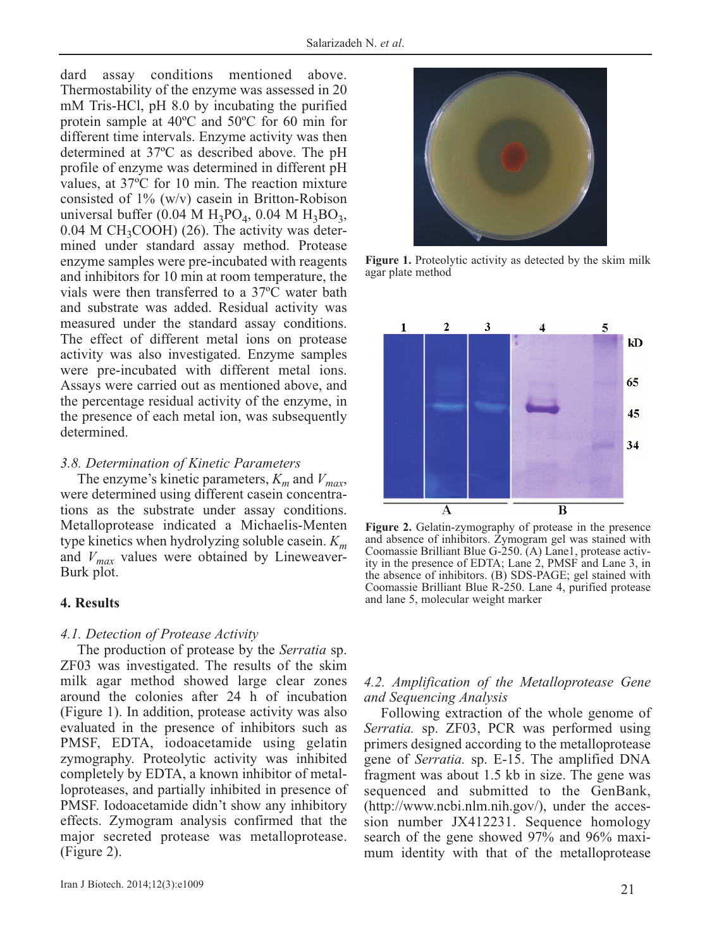dard assay conditions mentioned above. Thermostability of the enzyme was assessed in 20 mM Tris-HCl, pH 8.0 by incubating the purified protein sample at 40ºC and 50ºC for 60 min for different time intervals. Enzyme activity was then determined at 37ºC as described above. The pH profile of enzyme was determined in different pH values, at 37ºC for 10 min. The reaction mixture consisted of 1% (w/v) casein in Britton-Robison universal buffer (0.04 M  $H_3PO_4$ , 0.04 M  $H_3BO_3$ ,  $0.04$  M CH<sub>3</sub>COOH) (26). The activity was determined under standard assay method. Protease enzyme samples were pre-incubated with reagents and inhibitors for 10 min at room temperature, the vials were then transferred to a 37ºC water bath and substrate was added. Residual activity was measured under the standard assay conditions. The effect of different metal ions on protease activity was also investigated. Enzyme samples were pre-incubated with different metal ions. Assays were carried out as mentioned above, and the percentage residual activity of the enzyme, in the presence of each metal ion, was subsequently determined.

# *3.8. Determination of Kinetic Parameters*

The enzyme's kinetic parameters,  $K_m$  and  $V_{max}$ , were determined using different casein concentrations as the substrate under assay conditions. Metalloprotease indicated a Michaelis-Menten type kinetics when hydrolyzing soluble casein. *Km* and  $V_{max}$  values were obtained by Lineweaver-Burk plot.

# **4. Results**

## *4.1. Detection of Protease Activity*

The production of protease by the *Serratia* sp. ZF03 was investigated. The results of the skim milk agar method showed large clear zones around the colonies after 24 h of incubation (Figure 1). In addition, protease activity was also evaluated in the presence of inhibitors such as PMSF, EDTA, iodoacetamide using gelatin zymography. Proteolytic activity was inhibited completely by EDTA, a known inhibitor of metalloproteases, and partially inhibited in presence of PMSF. Iodoacetamide didn't show any inhibitory effects. Zymogram analysis confirmed that the major secreted protease was metalloprotease. (Figure 2).



Figure 1. Proteolytic activity as detected by the skim milk agar plate method



**Figure 2.** Gelatin-zymography of protease in the presence and absence of inhibitors. Zymogram gel was stained with Coomassie Brilliant Blue G-250. (A) Lane1, protease activity in the presence of EDTA; Lane 2, PMSF and Lane 3, in the absence of inhibitors. (B) SDS-PAGE; gel stained with Coomassie Brilliant Blue R-250. Lane 4, purified protease and lane 5, molecular weight marker

## *4.2. Amplification of the Metalloprotease Gene and Sequencing Analysis*

Following extraction of the whole genome of *Serratia.* sp. ZF03, PCR was performed using primers designed according to the metalloprotease gene of *Serratia.* sp. E-15. The amplified DNA fragment was about 1.5 kb in size. The gene was sequenced and submitted to the GenBank, (http://www.ncbi.nlm.nih.gov/), under the accession number JX412231. Sequence homology search of the gene showed 97% and 96% maximum identity with that of the metalloprotease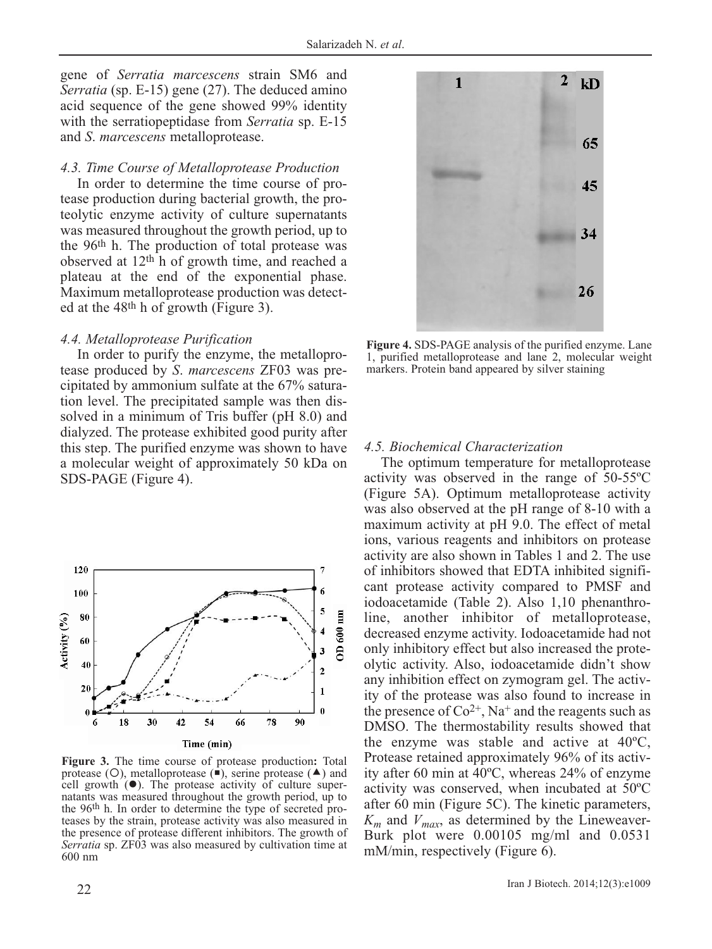gene of *Serratia marcescens* strain SM6 and *Serratia* (sp. E-15) gene (27). The deduced amino acid sequence of the gene showed 99% identity with the serratiopeptidase from *Serratia* sp. E-15 and *S*. *marcescens* metalloprotease.

#### *4.3. Time Course of Metalloprotease Production*

In order to determine the time course of protease production during bacterial growth, the proteolytic enzyme activity of culture supernatants was measured throughout the growth period, up to the 96th h. The production of total protease was observed at 12th h of growth time, and reached a plateau at the end of the exponential phase. Maximum metalloprotease production was detected at the 48th h of growth (Figure 3).

#### *4.4. Metalloprotease Purification*

In order to purify the enzyme, the metalloprotease produced by *S*. *marcescens* ZF03 was precipitated by ammonium sulfate at the 67% saturation level. The precipitated sample was then dissolved in a minimum of Tris buffer (pH 8.0) and dialyzed. The protease exhibited good purity after this step. The purified enzyme was shown to have a molecular weight of approximately 50 kDa on SDS-PAGE (Figure 4).



**Figure 3.** The time course of protease production**:** Total protease (O), metalloprotease  $(\blacksquare)$ , serine protease  $(\blacktriangle)$  and cell growth  $(•)$ . The protease activity of culture supernatants was measured throughout the growth period, up to the 96th h. In order to determine the type of secreted proteases by the strain, protease activity was also measured in the presence of protease different inhibitors. The growth of *Serratia* sp. ZF03 was also measured by cultivation time at 600 nm



**Figure 4.** SDS-PAGE analysis of the purified enzyme. Lane 1, purified metalloprotease and lane 2, molecular weight markers. Protein band appeared by silver staining

#### *4.5. Biochemical Characterization*

The optimum temperature for metalloprotease activity was observed in the range of 50-55ºC (Figure 5A). Optimum metalloprotease activity was also observed at the pH range of 8-10 with a maximum activity at pH 9.0. The effect of metal ions, various reagents and inhibitors on protease activity are also shown in Tables 1 and 2. The use of inhibitors showed that EDTA inhibited significant protease activity compared to PMSF and iodoacetamide (Table 2). Also 1,10 phenanthroline, another inhibitor of metalloprotease, decreased enzyme activity. Iodoacetamide had not only inhibitory effect but also increased the proteolytic activity. Also, iodoacetamide didn't show any inhibition effect on zymogram gel. The activity of the protease was also found to increase in the presence of  $Co^{2+}$ , Na<sup>+</sup> and the reagents such as DMSO. The thermostability results showed that the enzyme was stable and active at 40ºC, Protease retained approximately 96% of its activity after 60 min at 40ºC, whereas 24% of enzyme activity was conserved, when incubated at 50ºC after 60 min (Figure 5C). The kinetic parameters,  $K_m$  and  $V_{max}$ , as determined by the Lineweaver-Burk plot were 0.00105 mg/ml and 0.0531 mM/min, respectively (Figure 6).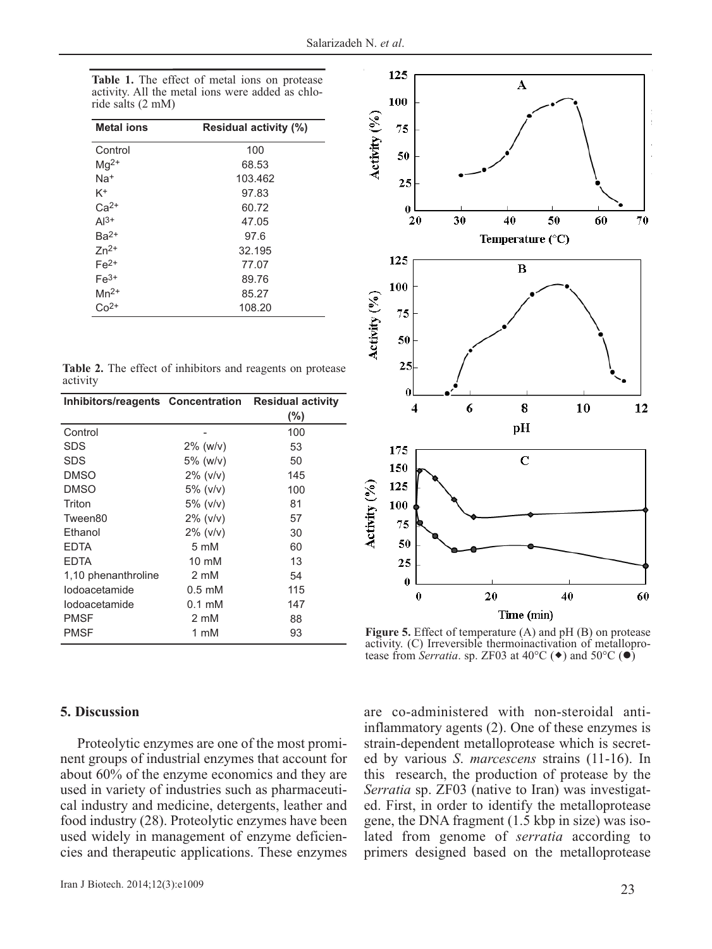| Table 1. The effect of metal ions on protease    |  |  |  |  |
|--------------------------------------------------|--|--|--|--|
| activity. All the metal ions were added as chlo- |  |  |  |  |
| ride salts (2 mM)                                |  |  |  |  |

| <b>Metal ions</b> | Residual activity (%) |
|-------------------|-----------------------|
| Control           | 100                   |
| $Mg^{2+}$         | 68.53                 |
| $Na+$             | 103.462               |
| K <sup>+</sup>    | 97.83                 |
| $Ca2+$            | 60.72                 |
| $Al^{3+}$         | 47.05                 |
| $Ba2+$            | 97.6                  |
| $Zn^{2+}$         | 32.195                |
| $Fe2+$            | 77.07                 |
| $Fe3+$            | 89.76                 |
| $Mn^{2+}$         | 85.27                 |
| $Co2+$            | 108.20                |

|          |  | Table 2. The effect of inhibitors and reagents on protease |  |  |
|----------|--|------------------------------------------------------------|--|--|
| activity |  |                                                            |  |  |

| Inhibitors/reagents Concentration Residual activity |                           |        |  |  |
|-----------------------------------------------------|---------------------------|--------|--|--|
|                                                     |                           | $(\%)$ |  |  |
| Control                                             |                           | 100    |  |  |
| SDS                                                 | $2\%$ (w/v)               | 53     |  |  |
| SDS                                                 | 5% (w/v)                  | 50     |  |  |
| <b>DMSO</b>                                         | $2\%$ ( $v/v$ )           | 145    |  |  |
| <b>DMSO</b>                                         | $5\%$ ( $v/v$ )           | 100    |  |  |
| Triton                                              | $5\%$ ( $v/v$ )           | 81     |  |  |
| Tween80                                             | $2\%$ ( $v/v$ )           | 57     |  |  |
| Ethanol                                             | $2\%$ ( $v/v$ )           | 30     |  |  |
| <b>EDTA</b>                                         | $5 \text{ mM}$            | 60     |  |  |
| <b>EDTA</b>                                         | $10 \text{ mM}$           | 13     |  |  |
| 1,10 phenanthroline                                 | 2 mM                      | 54     |  |  |
| lodoacetamide                                       | $0.5 \text{ }\mathrm{mM}$ | 115    |  |  |
| lodoacetamide                                       | $0.1 \text{ }\mathrm{mM}$ | 147    |  |  |
| <b>PMSF</b>                                         | 2 mM                      | 88     |  |  |
| <b>PMSF</b>                                         | 1 mM                      | 93     |  |  |

#### 125  $\overline{\mathbf{A}}$ 100 Activity (%) 75 50 25  $\bf{0}$ 30 70 20 40 50 60 Temperature  $(^{\circ}C)$ 125  $\overline{B}$ 100 Activity (%) 75 50 25  $\boldsymbol{0}$ 6 8 10 12  $\overline{4}$ pH 175  $\overline{C}$ 150 Activity (%) 125 100 75 50 25  $\boldsymbol{0}$  $\bf{0}$ 40 20 60 Time (min)

**Figure 5.** Effect of temperature (A) and pH (B) on protease activity. (C) Irreversible thermoinactivation of metalloprotease from *Serratia*. sp. ZF03 at  $40^{\circ}$ C ( $\bullet$ ) and  $50^{\circ}$ C ( $\bullet$ )

## **5. Discussion**

Proteolytic enzymes are one of the most prominent groups of industrial enzymes that account for about 60% of the enzyme economics and they are used in variety of industries such as pharmaceutical industry and medicine, detergents, leather and food industry (28). Proteolytic enzymes have been used widely in management of enzyme deficiencies and therapeutic applications. These enzymes are co-administered with non-steroidal antiinflammatory agents (2). One of these enzymes is strain-dependent metalloprotease which is secreted by various *S*. *marcescens* strains (11-16). In this research, the production of protease by the *Serratia* sp. ZF03 (native to Iran) was investigated. First, in order to identify the metalloprotease gene, the DNA fragment (1.5 kbp in size) was isolated from genome of *serratia* according to primers designed based on the metalloprotease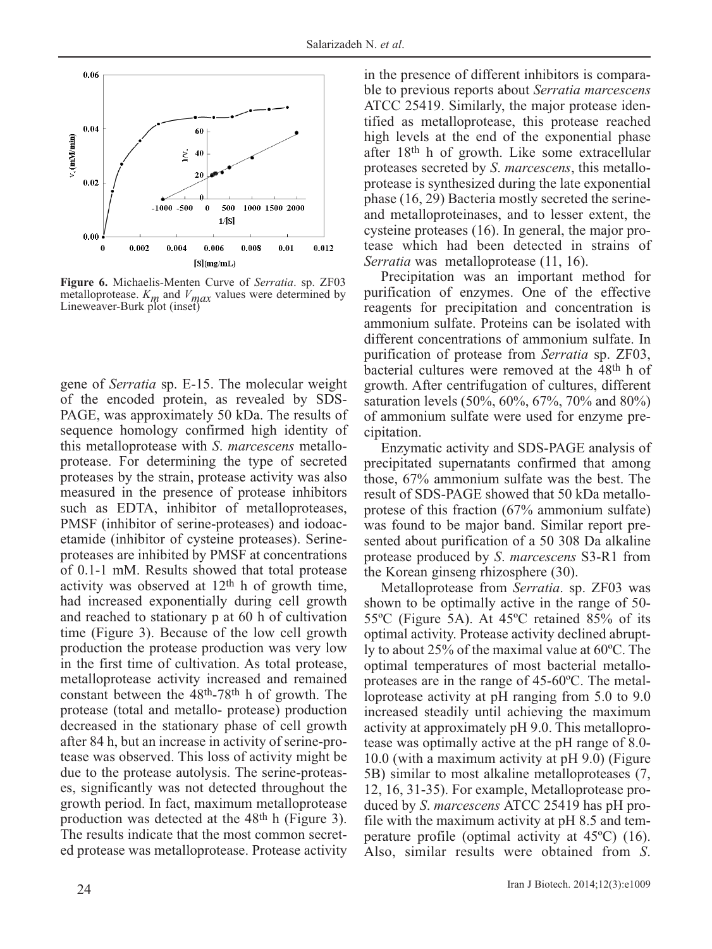

**Figure 6.** Michaelis-Menten Curve of *Serratia*. sp. ZF03 metalloprotease.  $K_m$  and  $V_{max}$  values were determined by Lineweaver-Burk plot (inset)

gene of *Serratia* sp. E-15. The molecular weight of the encoded protein, as revealed by SDS-PAGE, was approximately 50 kDa. The results of sequence homology confirmed high identity of this metalloprotease with *S*. *marcescens* metalloprotease. For determining the type of secreted proteases by the strain, protease activity was also measured in the presence of protease inhibitors such as EDTA, inhibitor of metalloproteases, PMSF (inhibitor of serine-proteases) and iodoacetamide (inhibitor of cysteine proteases). Serineproteases are inhibited by PMSF at concentrations of 0.1-1 mM. Results showed that total protease activity was observed at  $12<sup>th</sup>$  h of growth time, had increased exponentially during cell growth and reached to stationary p at 60 h of cultivation time (Figure 3). Because of the low cell growth production the protease production was very low in the first time of cultivation. As total protease, metalloprotease activity increased and remained constant between the 48th-78th h of growth. The protease (total and metallo- protease) production decreased in the stationary phase of cell growth after 84 h, but an increase in activity of serine-protease was observed. This loss of activity might be due to the protease autolysis. The serine-proteases, significantly was not detected throughout the growth period. In fact, maximum metalloprotease production was detected at the 48th h (Figure 3). The results indicate that the most common secreted protease was metalloprotease. Protease activity

in the presence of different inhibitors is comparable to previous reports about *Serratia marcescens* ATCC 25419. Similarly, the major protease identified as metalloprotease, this protease reached high levels at the end of the exponential phase after 18th h of growth. Like some extracellular proteases secreted by *S*. *marcescens*, this metalloprotease is synthesized during the late exponential phase (16, 29) Bacteria mostly secreted the serineand metalloproteinases, and to lesser extent, the cysteine proteases (16). In general, the major protease which had been detected in strains of *Serratia* was metalloprotease (11, 16).

Precipitation was an important method for purification of enzymes. One of the effective reagents for precipitation and concentration is ammonium sulfate. Proteins can be isolated with different concentrations of ammonium sulfate. In purification of protease from *Serratia* sp. ZF03, bacterial cultures were removed at the 48th h of growth. After centrifugation of cultures, different saturation levels (50%, 60%, 67%, 70% and 80%) of ammonium sulfate were used for enzyme precipitation.

Enzymatic activity and SDS-PAGE analysis of precipitated supernatants confirmed that among those, 67% ammonium sulfate was the best. The result of SDS-PAGE showed that 50 kDa metalloprotese of this fraction (67% ammonium sulfate) was found to be major band. Similar report presented about purification of a 50 308 Da alkaline protease produced by *S*. *marcescens* S3-R1 from the Korean ginseng rhizosphere (30).

Metalloprotease from *Serratia*. sp. ZF03 was shown to be optimally active in the range of 50- 55ºC (Figure 5A). At 45ºC retained 85% of its optimal activity. Protease activity declined abruptly to about 25% of the maximal value at 60ºC. The optimal temperatures of most bacterial metalloproteases are in the range of 45-60ºC. The metalloprotease activity at pH ranging from 5.0 to 9.0 increased steadily until achieving the maximum activity at approximately pH 9.0. This metalloprotease was optimally active at the pH range of 8.0- 10.0 (with a maximum activity at pH 9.0) (Figure 5B) similar to most alkaline metalloproteases (7, 12, 16, 31-35). For example, Metalloprotease produced by *S*. *marcescens* ATCC 25419 has pH profile with the maximum activity at pH 8.5 and temperature profile (optimal activity at 45ºC) (16). Also, similar results were obtained from *S*.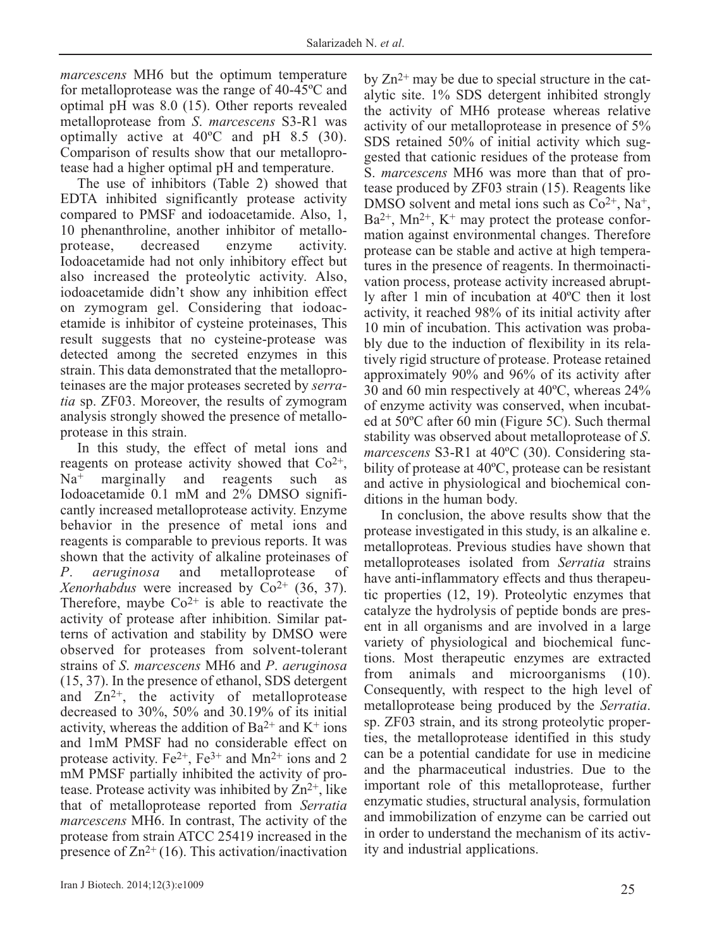*marcescens* MH6 but the optimum temperature for metalloprotease was the range of 40-45ºC and optimal pH was 8.0 (15). Other reports revealed metalloprotease from *S*. *marcescens* S3-R1 was optimally active at 40ºC and pH 8.5 (30). Comparison of results show that our metalloprotease had a higher optimal pH and temperature.

The use of inhibitors (Table 2) showed that EDTA inhibited significantly protease activity compared to PMSF and iodoacetamide. Also, 1, 10 phenanthroline, another inhibitor of metalloprotease, decreased enzyme activity. Iodoacetamide had not only inhibitory effect but also increased the proteolytic activity. Also, iodoacetamide didn't show any inhibition effect on zymogram gel. Considering that iodoacetamide is inhibitor of cysteine proteinases, This result suggests that no cysteine-protease was detected among the secreted enzymes in this strain. This data demonstrated that the metalloproteinases are the major proteases secreted by *serratia* sp. ZF03. Moreover, the results of zymogram analysis strongly showed the presence of metalloprotease in this strain.

In this study, the effect of metal ions and reagents on protease activity showed that  $Co^{2+}$ ,  $Na<sup>+</sup>$  marginally and reagents such as Iodoacetamide 0.1 mM and 2% DMSO significantly increased metalloprotease activity. Enzyme behavior in the presence of metal ions and reagents is comparable to previous reports. It was shown that the activity of alkaline proteinases of *P*. *aeruginosa* and metalloprotease of *Xenorhabdus* were increased by  $Co^{2+}$  (36, 37). Therefore, maybe  $Co^{2+}$  is able to reactivate the activity of protease after inhibition. Similar patterns of activation and stability by DMSO were observed for proteases from solvent-tolerant strains of *S*. *marcescens* MH6 and *P*. *aeruginosa* (15, 37). In the presence of ethanol, SDS detergent and  $Zn^{2+}$ , the activity of metalloprotease decreased to 30%, 50% and 30.19% of its initial activity, whereas the addition of  $Ba^{2+}$  and  $K^+$  ions and 1mM PMSF had no considerable effect on protease activity.  $Fe^{2+}$ ,  $Fe^{3+}$  and  $Mn^{2+}$  ions and 2 mM PMSF partially inhibited the activity of protease. Protease activity was inhibited by  $\text{Zn}^{2+}$ , like that of metalloprotease reported from *Serratia marcescens* MH6. In contrast, The activity of the protease from strain ATCC 25419 increased in the presence of  $\text{Zn}^{2+}(16)$ . This activation/inactivation

by  $Zn^{2+}$  may be due to special structure in the catalytic site. 1% SDS detergent inhibited strongly the activity of MH6 protease whereas relative activity of our metalloprotease in presence of 5% SDS retained 50% of initial activity which suggested that cationic residues of the protease from S. *marcescens* MH6 was more than that of protease produced by ZF03 strain (15). Reagents like DMSO solvent and metal ions such as  $Co<sup>2+</sup>$ , Na<sup>+</sup>,  $Ba^{2+}$ , Mn<sup>2+</sup>, K<sup>+</sup> may protect the protease conformation against environmental changes. Therefore protease can be stable and active at high temperatures in the presence of reagents. In thermoinactivation process, protease activity increased abruptly after 1 min of incubation at 40ºC then it lost activity, it reached 98% of its initial activity after 10 min of incubation. This activation was probably due to the induction of flexibility in its relatively rigid structure of protease. Protease retained approximately 90% and 96% of its activity after 30 and 60 min respectively at 40ºC, whereas 24% of enzyme activity was conserved, when incubated at 50ºC after 60 min (Figure 5C). Such thermal stability was observed about metalloprotease of *S*. *marcescens* S3-R1 at 40ºC (30). Considering stability of protease at 40ºC, protease can be resistant and active in physiological and biochemical conditions in the human body.

In conclusion, the above results show that the protease investigated in this study, is an alkaline e. metalloproteas. Previous studies have shown that metalloproteases isolated from *Serratia* strains have anti-inflammatory effects and thus therapeutic properties (12, 19). Proteolytic enzymes that catalyze the hydrolysis of peptide bonds are present in all organisms and are involved in a large variety of physiological and biochemical functions. Most therapeutic enzymes are extracted from animals and microorganisms (10). Consequently, with respect to the high level of metalloprotease being produced by the *Serratia*. sp. ZF03 strain, and its strong proteolytic properties, the metalloprotease identified in this study can be a potential candidate for use in medicine and the pharmaceutical industries. Due to the important role of this metalloprotease, further enzymatic studies, structural analysis, formulation and immobilization of enzyme can be carried out in order to understand the mechanism of its activity and industrial applications.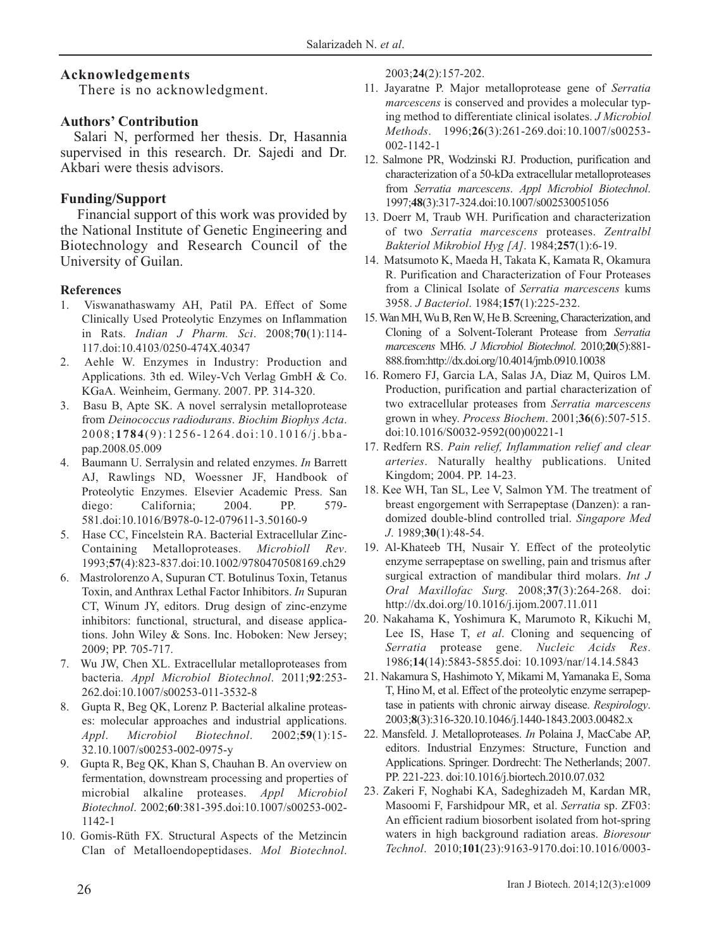## **Acknowledgements**

There is no acknowledgment.

#### **Authors' Contribution**

Salari N, performed her thesis. Dr, Hasannia supervised in this research. Dr. Sajedi and Dr. Akbari were thesis advisors.

## **Funding/Support**

Financial support of this work was provided by the National Institute of Genetic Engineering and Biotechnology and Research Council of the University of Guilan.

#### **References**

- 1. Viswanathaswamy AH, Patil PA. Effect of Some Clinically Used Proteolytic Enzymes on Inflammation in Rats. *Indian J Pharm. Sci*. 2008;**70**(1):114- 117.doi:10.4103/0250-474X.40347
- 2. Aehle W. Enzymes in Industry: Production and Applications. 3th ed. Wiley-Vch Verlag GmbH & Co. KGaA. Weinheim, Germany. 2007. PP. 314-320.
- 3. Basu B, Apte SK. A novel serralysin metalloprotease from *Deinococcus radiodurans*. *Biochim Biophys Acta*. 2008;**1784**(9):1256-1264.doi:10.1016/j.bbapap.2008.05.009
- 4. Baumann U. Serralysin and related enzymes. *In* Barrett AJ, Rawlings ND, Woessner JF, Handbook of Proteolytic Enzymes. Elsevier Academic Press. San diego: California; 2004. PP. 579-581.doi:10.1016/B978-0-12-079611-3.50160-9
- 5. Hase CC, Fincelstein RA. Bacterial Extracellular Zinc-Containing Metalloproteases. *Microbioll Rev*. 1993;**57**(4):823-837.doi:10.1002/9780470508169.ch29
- 6. Mastrolorenzo A, Supuran CT. Botulinus Toxin, Tetanus Toxin, and Anthrax Lethal Factor Inhibitors. *In* Supuran CT, Winum JY, editors. Drug design of zinc-enzyme inhibitors: functional, structural, and disease applications. John Wiley & Sons. Inc. Hoboken: New Jersey; 2009; PP. 705-717.
- 7. Wu JW, Chen XL. Extracellular metalloproteases from bacteria. *Appl Microbiol Biotechnol*. 2011;**92**:253- 262.doi:10.1007/s00253-011-3532-8
- 8. Gupta R, Beg QK, Lorenz P. Bacterial alkaline proteases: molecular approaches and industrial applications. *Appl*. *Microbiol Biotechnol*. 2002;**59**(1):15- 32.10.1007/s00253-002-0975-y
- 9. Gupta R, Beg QK, Khan S, Chauhan B. An overview on fermentation, downstream processing and properties of microbial alkaline proteases. *Appl Microbiol Biotechnol*. 2002;**60**:381-395.doi:10.1007/s00253-002- 1142-1
- 10. Gomis-Rüth FX. Structural Aspects of the Metzincin Clan of Metalloendopeptidases. *Mol Biotechnol*.

2003;**24**(2):157-202.

- 11. Jayaratne P. Major metalloprotease gene of *Serratia marcescens* is conserved and provides a molecular typing method to differentiate clinical isolates. *J Microbiol Methods*. 1996;**26**(3):261-269.doi:10.1007/s00253- 002-1142-1
- 12. Salmone PR, Wodzinski RJ. Production, purification and characterization of a 50-kDa extracellular metalloproteases from *Serratia marcescens*. *Appl Microbiol Biotechnol*. 1997;**48**(3):317-324.doi:10.1007/s002530051056
- 13. Doerr M, Traub WH. Purification and characterization of two *Serratia marcescens* proteases. *Zentralbl Bakteriol Mikrobiol Hyg [A]*. 1984;**257**(1):6-19.
- 14. Matsumoto K, Maeda H, Takata K, Kamata R, Okamura R. Purification and Characterization of Four Proteases from a Clinical Isolate of *Serratia marcescens* kums 3958. *J Bacteriol*. 1984;**157**(1):225-232.
- 15. Wan MH, Wu B, Ren W, He B. Screening, Characterization, and Cloning of a Solvent-Tolerant Protease from *Serratia marcescens* MH6. *J Microbiol Biotechnol*. 2010;**20**(5):881- 888.from:http://dx.doi.org/10.4014/jmb.0910.10038
- 16. Romero FJ, Garcia LA, Salas JA, Diaz M, Quiros LM. Production, purification and partial characterization of two extracellular proteases from *Serratia marcescens* grown in whey. *Process Biochem*. 2001;**36**(6):507-515. doi:10.1016/S0032-9592(00)00221-1
- 17. Redfern RS. *Pain relief, Inflammation relief and clear arteries*. Naturally healthy publications. United Kingdom; 2004. PP. 14-23.
- 18. Kee WH, Tan SL, Lee V, Salmon YM. The treatment of breast engorgement with Serrapeptase (Danzen): a randomized double-blind controlled trial. *Singapore Med J*. 1989;**30**(1):48-54.
- 19. Al-Khateeb TH, Nusair Y. Effect of the proteolytic enzyme serrapeptase on swelling, pain and trismus after surgical extraction of mandibular third molars. *Int J Oral Maxillofac Surg.* 2008;**37**(3):264-268. doi: http://dx.doi.org/10.1016/j.ijom.2007.11.011
- 20. Nakahama K, Yoshimura K, Marumoto R, Kikuchi M, Lee IS, Hase T, *et al*. Cloning and sequencing of *Serratia* protease gene. *Nucleic Acids Res*. 1986;**14**(14):5843-5855.doi: 10.1093/nar/14.14.5843
- 21. Nakamura S, Hashimoto Y, Mikami M, Yamanaka E, Soma T, Hino M, et al. Effect of the proteolytic enzyme serrapeptase in patients with chronic airway disease. *Respirology*. 2003;**8**(3):316-320.10.1046/j.1440-1843.2003.00482.x
- 22. Mansfeld. J. Metalloproteases. *In* Polaina J, MacCabe AP, editors. Industrial Enzymes: Structure, Function and Applications. Springer. Dordrecht: The Netherlands; 2007. PP. 221-223. doi:10.1016/j.biortech.2010.07.032
- 23. Zakeri F, Noghabi KA, Sadeghizadeh M, Kardan MR, Masoomi F, Farshidpour MR, et al. *Serratia* sp. ZF03: An efficient radium biosorbent isolated from hot-spring waters in high background radiation areas. *Bioresour Technol*. 2010;**101**(23):9163-9170.doi:10.1016/0003-